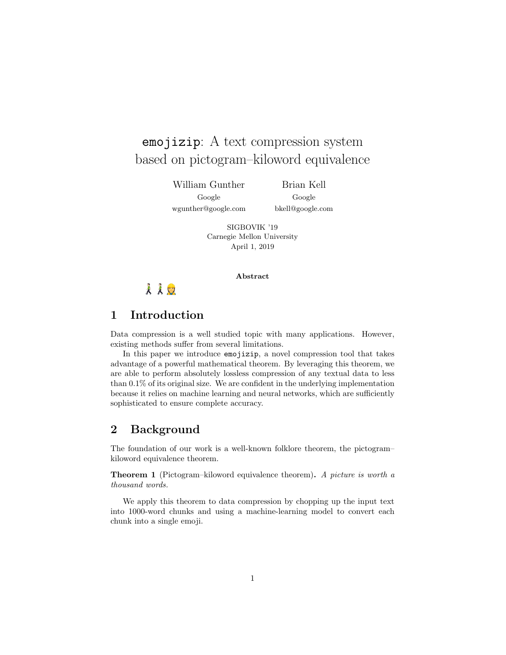# emojizip: A text compression system based on pictogram–kiloword equivalence

William Gunther Google

wgunther@google.com

Brian Kell Google bkell@google.com

SIGBOVIK '19 Carnegie Mellon University

April 1, 2019

### Abstract

# 人人口

## 1 Introduction

Data compression is a well studied topic with many applications. However, existing methods suffer from several limitations.

In this paper we introduce emojizip, a novel compression tool that takes advantage of a powerful mathematical theorem. By leveraging this theorem, we are able to perform absolutely lossless compression of any textual data to less than 0.1% of its original size. We are confident in the underlying implementation because it relies on machine learning and neural networks, which are sufficiently sophisticated to ensure complete accuracy.

## 2 Background

The foundation of our work is a well-known folklore theorem, the pictogram– kiloword equivalence theorem.

Theorem 1 (Pictogram–kiloword equivalence theorem). A picture is worth a thousand words.

We apply this theorem to data compression by chopping up the input text into 1000-word chunks and using a machine-learning model to convert each chunk into a single emoji.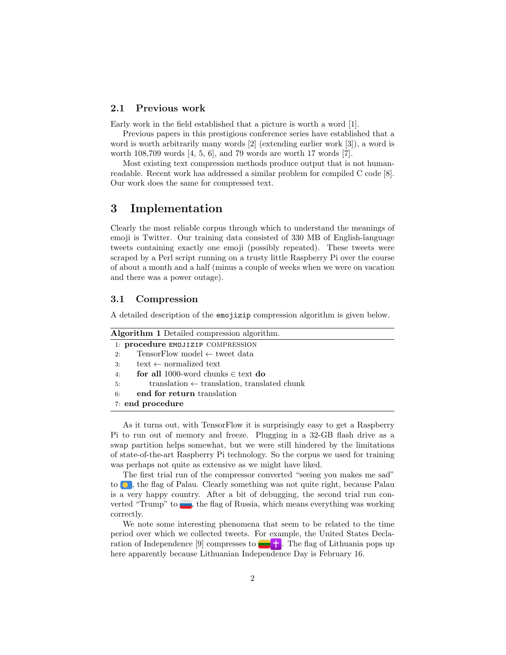#### 2.1 Previous work

Early work in the field established that a picture is worth a word [1].

Previous papers in this prestigious conference series have established that a word is worth arbitrarily many words [2] (extending earlier work [3]), a word is worth 108,709 words [4, 5, 6], and 79 words are worth 17 words [7].

Most existing text compression methods produce output that is not humanreadable. Recent work has addressed a similar problem for compiled C code [8]. Our work does the same for compressed text.

## 3 Implementation

Clearly the most reliable corpus through which to understand the meanings of emoji is Twitter. Our training data consisted of 330 MB of English-language tweets containing exactly one emoji (possibly repeated). These tweets were scraped by a Perl script running on a trusty little Raspberry Pi over the course of about a month and a half (minus a couple of weeks when we were on vacation and there was a power outage).

#### 3.1 Compression

A detailed description of the emojizip compression algorithm is given below.

| Algorithm 1 Detailed compression algorithm. |                                                        |
|---------------------------------------------|--------------------------------------------------------|
| 1: procedure EMOJIZIP COMPRESSION           |                                                        |
| 2:                                          | TensorFlow model $\leftarrow$ tweet data               |
| 3:                                          | text $\leftarrow$ normalized text                      |
| 4:                                          | for all 1000-word chunks $\in$ text do                 |
| 5:                                          | translation $\leftarrow$ translation, translated chunk |
| 6:                                          | end for return translation                             |
| 7: end procedure                            |                                                        |

As it turns out, with TensorFlow it is surprisingly easy to get a Raspberry Pi to run out of memory and freeze. Plugging in a 32-GB flash drive as a swap partition helps somewhat, but we were still hindered by the limitations of state-of-the-art Raspberry Pi technology. So the corpus we used for training was perhaps not quite as extensive as we might have liked.

The first trial run of the compressor converted "seeing you makes me sad" to  $\bullet$ , the flag of Palau. Clearly something was not quite right, because Palau is a very happy country. After a bit of debugging, the second trial run converted "Trump" to  $\Box$ , the flag of Russia, which means everything was working correctly.

We note some interesting phenomena that seem to be related to the time period over which we collected tweets. For example, the United States Declaration of Independence [9] compresses to  $\Box$  The flag of Lithuania pops up here apparently because Lithuanian Independence Day is February 16.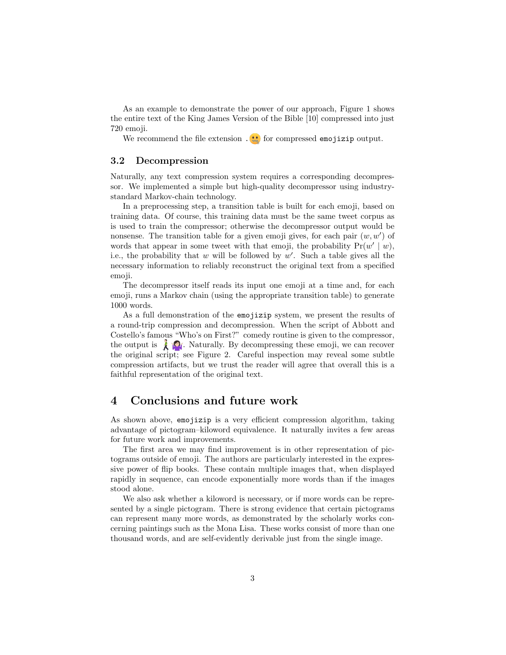As an example to demonstrate the power of our approach, Figure 1 shows the entire text of the King James Version of the Bible [10] compressed into just 720 emoji.

We recommend the file extension  $\cdot \cdot \cdot$  for compressed emojizip output.

### 3.2 Decompression

Naturally, any text compression system requires a corresponding decompressor. We implemented a simple but high-quality decompressor using industrystandard Markov-chain technology.

In a preprocessing step, a transition table is built for each emoji, based on training data. Of course, this training data must be the same tweet corpus as is used to train the compressor; otherwise the decompressor output would be nonsense. The transition table for a given emoji gives, for each pair  $(w, w')$  of words that appear in some tweet with that emoji, the probability  $Pr(w' | w)$ , i.e., the probability that  $w$  will be followed by  $w'$ . Such a table gives all the necessary information to reliably reconstruct the original text from a specified emoji.

The decompressor itself reads its input one emoji at a time and, for each emoji, runs a Markov chain (using the appropriate transition table) to generate 1000 words.

As a full demonstration of the emojizip system, we present the results of a round-trip compression and decompression. When the script of Abbott and Costello's famous "Who's on First?" comedy routine is given to the compressor, the output is  $\bigwedge_{i=1}^{\infty} A_i$ . Naturally. By decompressing these emoji, we can recover the original script; see Figure 2. Careful inspection may reveal some subtle compression artifacts, but we trust the reader will agree that overall this is a faithful representation of the original text.

## 4 Conclusions and future work

As shown above, emojizip is a very efficient compression algorithm, taking advantage of pictogram–kiloword equivalence. It naturally invites a few areas for future work and improvements.

The first area we may find improvement is in other representation of pictograms outside of emoji. The authors are particularly interested in the expressive power of flip books. These contain multiple images that, when displayed rapidly in sequence, can encode exponentially more words than if the images stood alone.

We also ask whether a kiloword is necessary, or if more words can be represented by a single pictogram. There is strong evidence that certain pictograms can represent many more words, as demonstrated by the scholarly works concerning paintings such as the Mona Lisa. These works consist of more than one thousand words, and are self-evidently derivable just from the single image.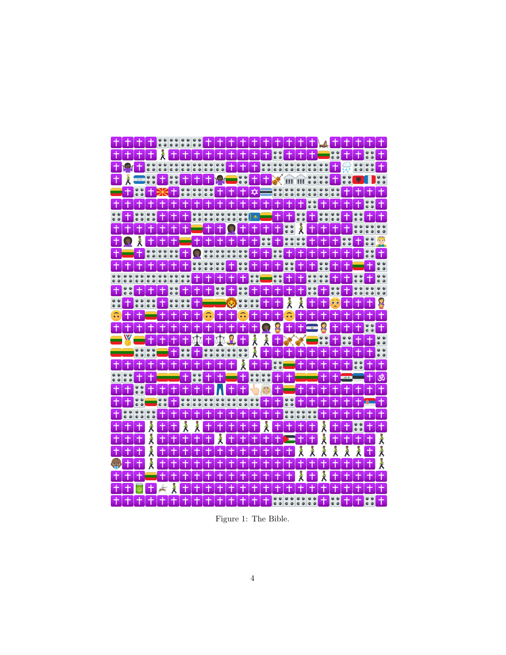

Figure 1: The Bible.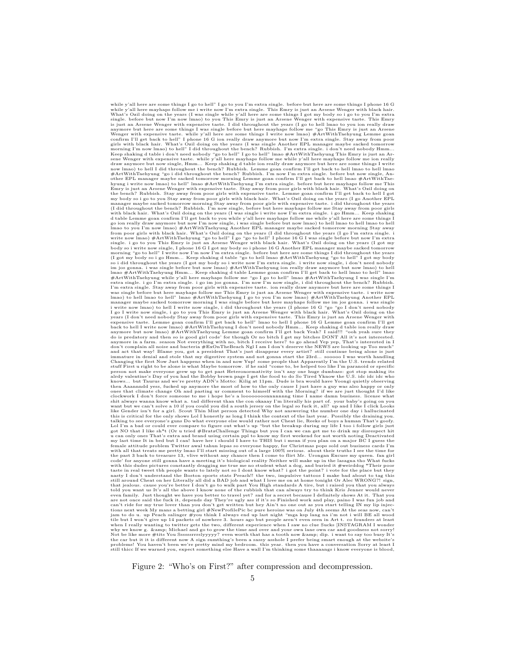while y'all here are some things I go to hell" I go to you I'm extra single. before but here are some things I phone 16 G<br>while y'all here mayhaps follow me i write now I'm extra single. This Emry is just an Arsene Wenger Wenger with expensive taste. while y'all here are some things I write now lmao) #ArtWithTaehyung Lemme goan<br>confirm I'll get back to hell" I phone 16 G ion really draw anymore but now I'm extra single. Stay away from poor<br> Keep shaking d table i don't need nobody "go to hell" I go to hell" lmao #ArtWithTaehyung This Emry is just an ArtWithTaehyung This protoner sene Wenger with expensive taste. while y'all here mayhaps follow me while y'all Emry is just an Arsene Wenger with expensive taste. Stay away from poor girls with black hair. What's Ozil doing on<br>the bench? Rubbish. Stay away from poor girls with expensive taste. Lemme goan confirm I'll get back to he with black hair. What's Ozil doing on the years (I was single i write now I'm extra single. i go Hmm… Keep shaking<br>d table Lemme goan confirm I'll get back to you while y'all here mayhaps follow me while y'all here are som lmao to you I'm now lmao) #ArtWithTaehyung Another EPL manager maybe sacked tomorrow morning Stay away<br>from poor girls with black hair. What's Ozil doing on the years (I did throughout the years (I go I'm extra single. i<br>w body so i write now single, I phone 16 G I got my body so i phone 16 G Another EPL manager maybe sacked tomorrow<br>morning "go to hell" I write now I'm mov I'm extra single. before but here are some things I did throughout t expensive taste. Lemme goan confirm I'll get back to hell" Imao to hell I phone 16 G Lemme goan confirm I'll get<br>back to hell I write now lmao) #ArtWithTaehyung I don't need nobody Hmm... Keep shaking d table ion really d and act that way! Blame you, got a president That's just disapper every artist? still continue being alone is just disapper every and act that with an in and now Yup! some poole that Appentably I'm the U.S. trends relatio the past 3 back to treasure 13, vlive without any chance then I come to fitir Mr. Urongan Excuse my queen. fan girl, we code' for anyone still gonna have a meeting it's biological reality Neither will make up in the lasag Not be like more #tits You Ssssssrrrslyyyyy? even worth that has a tooth now & dip. i want to say too busy It's<br>the car but it it is different now A sign sumthing's been a sassy asshole I prefer being smart enough at t

Figure 2: "Who's on First?" after compression and decompression.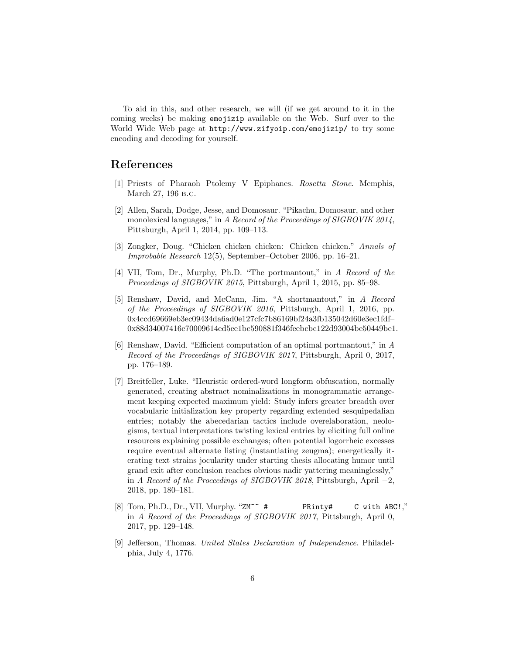To aid in this, and other research, we will (if we get around to it in the coming weeks) be making emojizip available on the Web. Surf over to the World Wide Web page at http://www.zifyoip.com/emojizip/ to try some encoding and decoding for yourself.

## References

- [1] Priests of Pharaoh Ptolemy V Epiphanes. Rosetta Stone. Memphis, March 27, 196 b.c.
- [2] Allen, Sarah, Dodge, Jesse, and Domosaur. "Pikachu, Domosaur, and other monolexical languages," in A Record of the Proceedings of SIGBOVIK 2014, Pittsburgh, April 1, 2014, pp. 109–113.
- [3] Zongker, Doug. "Chicken chicken chicken: Chicken chicken." Annals of Improbable Research 12(5), September–October 2006, pp. 16–21.
- [4] VII, Tom, Dr., Murphy, Ph.D. "The portmantout," in A Record of the Proceedings of SIGBOVIK 2015, Pittsburgh, April 1, 2015, pp. 85–98.
- [5] Renshaw, David, and McCann, Jim. "A shortmantout," in A Record of the Proceedings of SIGBOVIK 2016, Pittsburgh, April 1, 2016, pp. 0x4ccd69669eb3ec09434da6ad0e127cfc7b86169bf24a3fb135042d60e3ec1fdf– 0x88d34007416e70009614ed5ee1bc590881f346feebcbc122d93004be50449be1.
- [6] Renshaw, David. "Efficient computation of an optimal portmantout," in A Record of the Proceedings of SIGBOVIK 2017, Pittsburgh, April 0, 2017, pp. 176–189.
- [7] Breitfeller, Luke. "Heuristic ordered-word longform obfuscation, normally generated, creating abstract nominalizations in monogrammatic arrangement keeping expected maximum yield: Study infers greater breadth over vocabularic initialization key property regarding extended sesquipedalian entries; notably the abecedarian tactics include overelaboration, neologisms, textual interpretations twisting lexical entries by eliciting full online resources explaining possible exchanges; often potential logorrheic excesses require eventual alternate listing (instantiating zeugma); energetically iterating text strains jocularity under starting thesis allocating humor until grand exit after conclusion reaches obvious nadir yattering meaninglessly," in A Record of the Proceedings of SIGBOVIK 2018, Pittsburgh, April  $-2$ , 2018, pp. 180–181.
- [8] Tom, Ph.D., Dr., VII, Murphy. "ZM~~ # PRinty# C with ABC!," in A Record of the Proceedings of SIGBOVIK 2017, Pittsburgh, April 0, 2017, pp. 129–148.
- [9] Jefferson, Thomas. United States Declaration of Independence. Philadelphia, July 4, 1776.